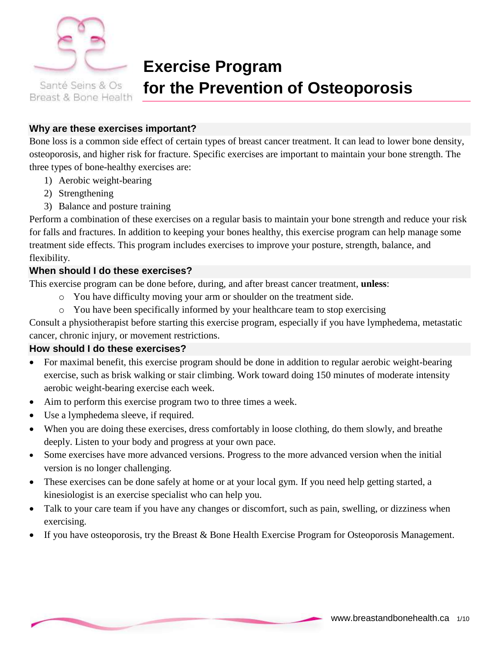

Breast & Bone Health

# **Exercise Program for the Prevention of Osteoporosis**

#### **Why are these exercises important?**

Bone loss is a common side effect of certain types of breast cancer treatment. It can lead to lower bone density, osteoporosis, and higher risk for fracture. Specific exercises are important to maintain your bone strength. The three types of bone-healthy exercises are:

- 1) Aerobic weight-bearing
- 2) Strengthening
- 3) Balance and posture training

Perform a combination of these exercises on a regular basis to maintain your bone strength and reduce your risk for falls and fractures. In addition to keeping your bones healthy, this exercise program can help manage some treatment side effects. This program includes exercises to improve your posture, strength, balance, and flexibility.

#### **When should I do these exercises?**

This exercise program can be done before, during, and after breast cancer treatment, **unless**:

- o You have difficulty moving your arm or shoulder on the treatment side.
- o You have been specifically informed by your healthcare team to stop exercising

Consult a physiotherapist before starting this exercise program, especially if you have lymphedema, metastatic cancer, chronic injury, or movement restrictions.

#### **How should I do these exercises?**

- For maximal benefit, this exercise program should be done in addition to regular aerobic weight-bearing exercise, such as brisk walking or stair climbing. Work toward doing 150 minutes of moderate intensity aerobic weight-bearing exercise each week.
- Aim to perform this exercise program two to three times a week.
- Use a lymphedema sleeve, if required.
- When you are doing these exercises, dress comfortably in loose clothing, do them slowly, and breathe deeply. Listen to your body and progress at your own pace.
- Some exercises have more advanced versions. Progress to the more advanced version when the initial version is no longer challenging.
- These exercises can be done safely at home or at your local gym. If you need help getting started, a kinesiologist is an exercise specialist who can help you.
- Talk to your care team if you have any changes or discomfort, such as pain, swelling, or dizziness when exercising.
- If you have osteoporosis, try the Breast & Bone Health Exercise Program for Osteoporosis Management.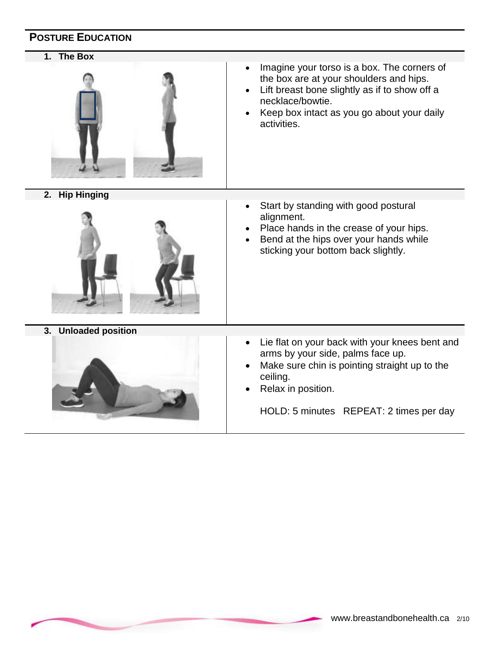## **POSTURE EDUCATION**

**1. The Box** 



- Imagine your torso is a box. The corners of the box are at your shoulders and hips.
- Lift breast bone slightly as if to show off a necklace/bowtie.
- Keep box intact as you go about your daily activities.

**2. Hip Hinging**



**3. Unloaded position**



- Start by standing with good postural alignment.
- Place hands in the crease of your hips.
- Bend at the hips over your hands while sticking your bottom back slightly.

- Lie flat on your back with your knees bent and arms by your side, palms face up.
- Make sure chin is pointing straight up to the ceiling.
- Relax in position.

HOLD: 5 minutes REPEAT: 2 times per day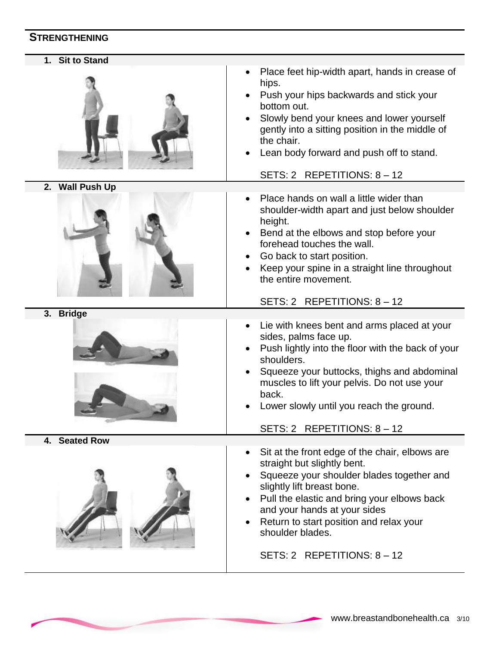## **STRENGTHENING**

| 1. Sit to Stand |                                                                                                                                                                                                                                                                                                                                       |
|-----------------|---------------------------------------------------------------------------------------------------------------------------------------------------------------------------------------------------------------------------------------------------------------------------------------------------------------------------------------|
|                 | Place feet hip-width apart, hands in crease of<br>hips.<br>Push your hips backwards and stick your<br>bottom out.<br>Slowly bend your knees and lower yourself<br>gently into a sitting position in the middle of<br>the chair.<br>Lean body forward and push off to stand.<br>SETS: 2 REPETITIONS: 8 - 12                            |
| 2. Wall Push Up |                                                                                                                                                                                                                                                                                                                                       |
|                 | Place hands on wall a little wider than<br>shoulder-width apart and just below shoulder<br>height.<br>Bend at the elbows and stop before your<br>forehead touches the wall.<br>Go back to start position.<br>Keep your spine in a straight line throughout<br>the entire movement.<br>SETS: 2 REPETITIONS: 8 - 12                     |
| 3. Bridge       |                                                                                                                                                                                                                                                                                                                                       |
|                 | Lie with knees bent and arms placed at your<br>sides, palms face up.<br>Push lightly into the floor with the back of your<br>shoulders.<br>Squeeze your buttocks, thighs and abdominal<br>muscles to lift your pelvis. Do not use your<br>back.<br>Lower slowly until you reach the ground.<br>SETS: 2 REPETITIONS: 8 - 12            |
| 4. Seated Row   |                                                                                                                                                                                                                                                                                                                                       |
|                 | Sit at the front edge of the chair, elbows are<br>straight but slightly bent.<br>Squeeze your shoulder blades together and<br>slightly lift breast bone.<br>Pull the elastic and bring your elbows back<br>and your hands at your sides<br>Return to start position and relax your<br>shoulder blades.<br>SETS: 2 REPETITIONS: 8 - 12 |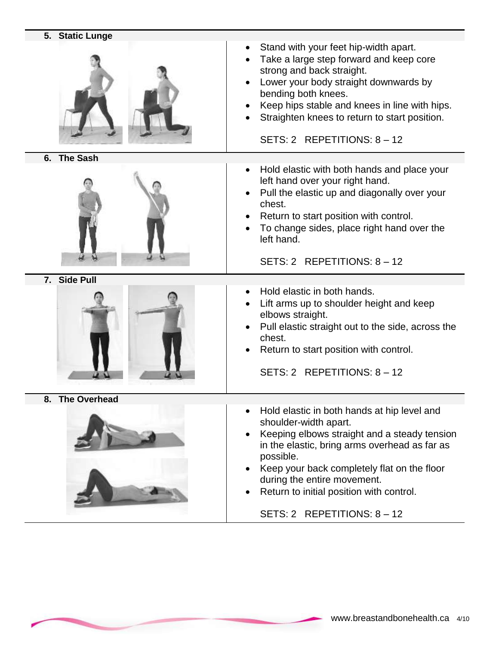|    | 5. Static Lunge     |                                                                                                                                                                                                                                                                                                                  |
|----|---------------------|------------------------------------------------------------------------------------------------------------------------------------------------------------------------------------------------------------------------------------------------------------------------------------------------------------------|
|    |                     | Stand with your feet hip-width apart.<br>Take a large step forward and keep core<br>strong and back straight.<br>Lower your body straight downwards by<br>bending both knees.<br>Keep hips stable and knees in line with hips.<br>Straighten knees to return to start position.<br>SETS: 2 REPETITIONS: $8 - 12$ |
|    | 6. The Sash         |                                                                                                                                                                                                                                                                                                                  |
|    |                     | Hold elastic with both hands and place your<br>$\bullet$<br>left hand over your right hand.<br>Pull the elastic up and diagonally over your<br>chest.<br>Return to start position with control.<br>To change sides, place right hand over the<br>left hand.<br>SETS: 2 REPETITIONS: 8 - 12                       |
|    | 7. Side Pull        |                                                                                                                                                                                                                                                                                                                  |
|    |                     |                                                                                                                                                                                                                                                                                                                  |
|    |                     | Hold elastic in both hands.<br>Lift arms up to shoulder height and keep<br>elbows straight.<br>Pull elastic straight out to the side, across the<br>chest.<br>Return to start position with control.<br>SETS: 2 REPETITIONS: $8 - 12$                                                                            |
| 8. | <b>The Overhead</b> |                                                                                                                                                                                                                                                                                                                  |
|    |                     | Hold elastic in both hands at hip level and<br>shoulder-width apart.<br>Keeping elbows straight and a steady tension<br>in the elastic, bring arms overhead as far as<br>possible.<br>Keep your back completely flat on the floor<br>during the entire movement.<br>Return to initial position with control.     |

SETS: 2 REPETITIONS: 8 – 12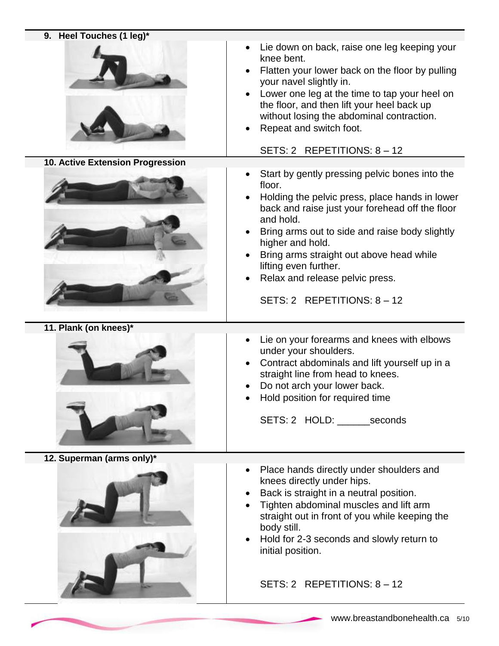| 9. Heel Touches (1 leg)*         |                                                                                                                                                                                                                                                                                                                                                                                         |
|----------------------------------|-----------------------------------------------------------------------------------------------------------------------------------------------------------------------------------------------------------------------------------------------------------------------------------------------------------------------------------------------------------------------------------------|
|                                  | Lie down on back, raise one leg keeping your<br>knee bent.<br>Flatten your lower back on the floor by pulling<br>your navel slightly in.<br>Lower one leg at the time to tap your heel on<br>the floor, and then lift your heel back up<br>without losing the abdominal contraction.<br>Repeat and switch foot.<br>SETS: 2 REPETITIONS: 8 - 12                                          |
| 10. Active Extension Progression |                                                                                                                                                                                                                                                                                                                                                                                         |
|                                  | Start by gently pressing pelvic bones into the<br>floor.<br>Holding the pelvic press, place hands in lower<br>back and raise just your forehead off the floor<br>and hold.<br>Bring arms out to side and raise body slightly<br>higher and hold.<br>Bring arms straight out above head while<br>lifting even further.<br>Relax and release pelvic press.<br>SETS: 2 REPETITIONS: 8 - 12 |
| 11. Plank (on knees)*            |                                                                                                                                                                                                                                                                                                                                                                                         |
|                                  | Lie on your forearms and knees with elbows                                                                                                                                                                                                                                                                                                                                              |
|                                  | under your shoulders.<br>Contract abdominals and lift yourself up in a<br>straight line from head to knees.<br>Do not arch your lower back.<br>Hold position for required time<br>SETS: 2 HOLD: _______seconds                                                                                                                                                                          |
| 12. Superman (arms only)*        |                                                                                                                                                                                                                                                                                                                                                                                         |
|                                  | Place hands directly under shoulders and<br>$\bullet$<br>knees directly under hips.<br>Back is straight in a neutral position.<br>Tighten abdominal muscles and lift arm<br>straight out in front of you while keeping the<br>body still.<br>Hold for 2-3 seconds and slowly return to<br>initial position.                                                                             |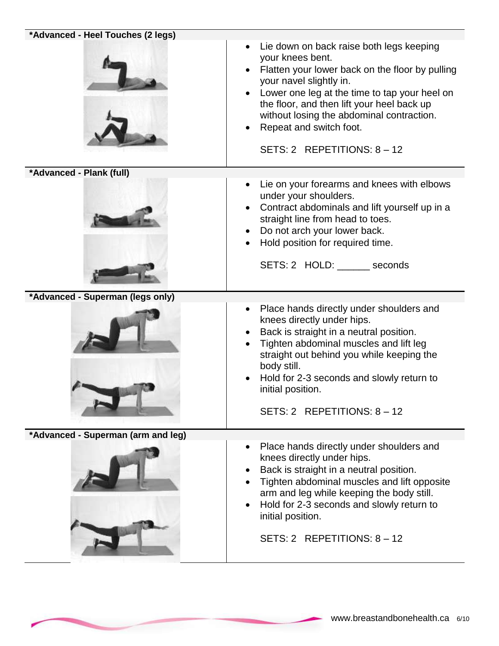| *Advanced - Heel Touches (2 legs)  | Lie down on back raise both legs keeping<br>$\bullet$<br>your knees bent.<br>Flatten your lower back on the floor by pulling<br>your navel slightly in.<br>Lower one leg at the time to tap your heel on<br>the floor, and then lift your heel back up<br>without losing the abdominal contraction.<br>Repeat and switch foot.<br>SETS: 2 REPETITIONS: 8 - 12 |
|------------------------------------|---------------------------------------------------------------------------------------------------------------------------------------------------------------------------------------------------------------------------------------------------------------------------------------------------------------------------------------------------------------|
| *Advanced - Plank (full)           |                                                                                                                                                                                                                                                                                                                                                               |
|                                    | Lie on your forearms and knees with elbows<br>under your shoulders.<br>Contract abdominals and lift yourself up in a<br>straight line from head to toes.<br>Do not arch your lower back.<br>Hold position for required time.<br>SETS: 2 HOLD: seconds                                                                                                         |
| *Advanced - Superman (legs only)   |                                                                                                                                                                                                                                                                                                                                                               |
|                                    | Place hands directly under shoulders and<br>$\bullet$<br>knees directly under hips.<br>Back is straight in a neutral position.<br>Tighten abdominal muscles and lift leg<br>straight out behind you while keeping the<br>body still.<br>Hold for 2-3 seconds and slowly return to<br>initial position.<br>SETS: 2 REPETITIONS: $8 - 12$                       |
| *Advanced - Superman (arm and leg) |                                                                                                                                                                                                                                                                                                                                                               |
|                                    | Place hands directly under shoulders and<br>knees directly under hips.<br>Back is straight in a neutral position.<br>Tighten abdominal muscles and lift opposite<br>arm and leg while keeping the body still.<br>Hold for 2-3 seconds and slowly return to<br>$\bullet$<br>initial position.<br>SETS: 2 REPETITIONS: 8 - 12                                   |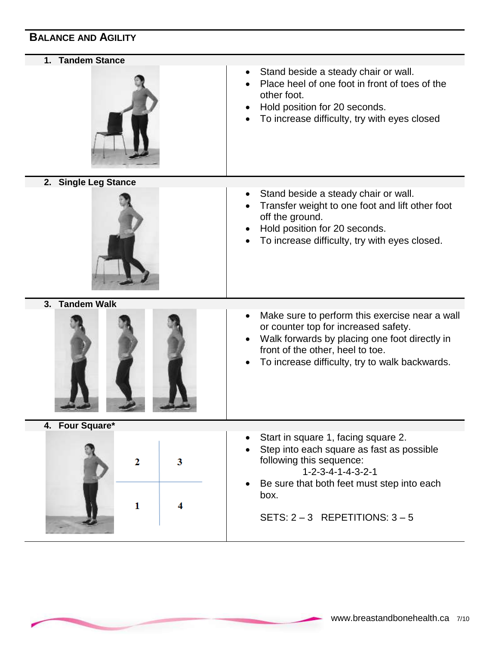### **BALANCE AND AGILITY**

**1. Tandem Stance**



- Stand beside a steady chair or wall.
- Place heel of one foot in front of toes of the other foot.
- Hold position for 20 seconds.
- To increase difficulty, try with eyes closed

**2. Single Leg Stance**



 Hold position for 20 seconds. To increase difficulty, try with eyes closed.

• Transfer weight to one foot and lift other foot

• Stand beside a steady chair or wall.

off the ground.

**3. Tandem Walk**



- Make sure to perform this exercise near a wall or counter top for increased safety.
- Walk forwards by placing one foot directly in front of the other, heel to toe.
- To increase difficulty, try to walk backwards.
- **4. Four Square\*** Start in square 1, facing square 2. Step into each square as fast as possible following this sequence:  $\overline{2}$  $\overline{\mathbf{3}}$  1-2-3-4-1-4-3-2-1 Be sure that both feet must step into each box.  $\mathbf{1}$ 4 SETS:  $2 - 3$  REPETITIONS:  $3 - 5$

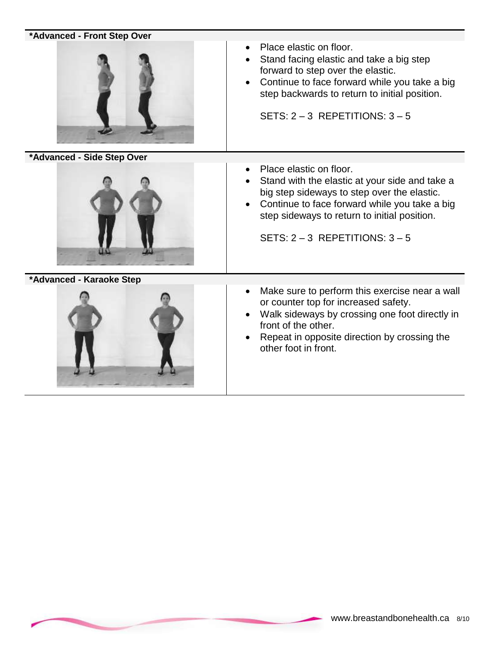| *Advanced - Front Step Over |                                                                                                                                                                                                                                                                 |
|-----------------------------|-----------------------------------------------------------------------------------------------------------------------------------------------------------------------------------------------------------------------------------------------------------------|
|                             | Place elastic on floor.<br>Stand facing elastic and take a big step<br>forward to step over the elastic.<br>Continue to face forward while you take a big<br>step backwards to return to initial position.<br>SETS: $2 - 3$ REPETITIONS: $3 - 5$                |
| *Advanced - Side Step Over  |                                                                                                                                                                                                                                                                 |
|                             | Place elastic on floor.<br>Stand with the elastic at your side and take a<br>big step sideways to step over the elastic.<br>Continue to face forward while you take a big<br>step sideways to return to initial position.<br>SETS: $2 - 3$ REPETITIONS: $3 - 5$ |
| *Advanced - Karaoke Step    |                                                                                                                                                                                                                                                                 |
|                             | Make sure to perform this exercise near a wall<br>or counter top for increased safety.<br>Walk sideways by crossing one foot directly in<br>front of the other.<br>Repeat in opposite direction by crossing the<br>other foot in front.                         |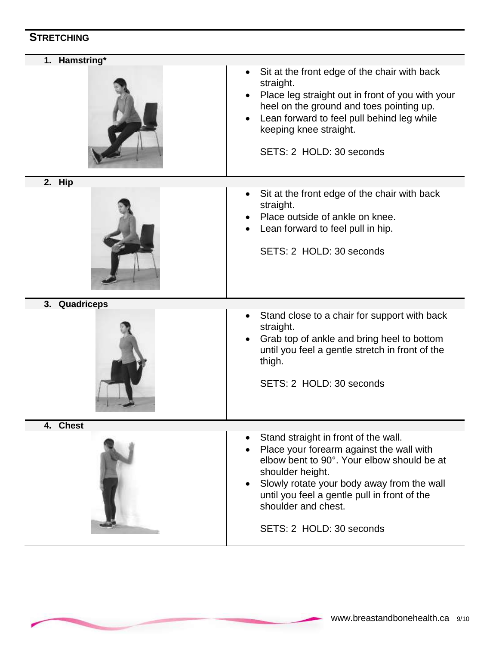## **STRETCHING**

| 1. Hamstring* | Sit at the front edge of the chair with back<br>straight.<br>Place leg straight out in front of you with your<br>heel on the ground and toes pointing up.<br>Lean forward to feel pull behind leg while<br>keeping knee straight.<br>SETS: 2 HOLD: 30 seconds                                       |
|---------------|-----------------------------------------------------------------------------------------------------------------------------------------------------------------------------------------------------------------------------------------------------------------------------------------------------|
| 2. Hip        | Sit at the front edge of the chair with back<br>straight.<br>Place outside of ankle on knee.<br>Lean forward to feel pull in hip.<br>SETS: 2 HOLD: 30 seconds                                                                                                                                       |
| 3. Quadriceps | Stand close to a chair for support with back<br>straight.<br>Grab top of ankle and bring heel to bottom<br>until you feel a gentle stretch in front of the<br>thigh.<br>SETS: 2 HOLD: 30 seconds                                                                                                    |
| 4. Chest      | Stand straight in front of the wall.<br>Place your forearm against the wall with<br>elbow bent to 90°. Your elbow should be at<br>shoulder height.<br>Slowly rotate your body away from the wall<br>until you feel a gentle pull in front of the<br>shoulder and chest.<br>SETS: 2 HOLD: 30 seconds |